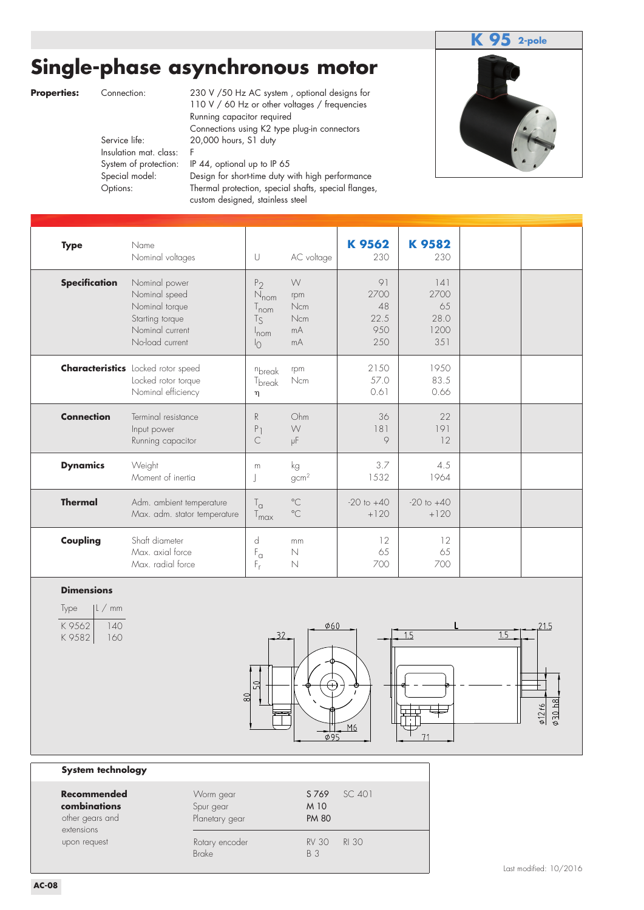# **Single-phase asynchronous motor**



|                    |                                                                                     |                                          |                                                                                                           |                                                                                                                                                                                                                                                                                                                                                                                                                             |                                                                             |                                               |                                        |                                         |     | 2-pole                 |
|--------------------|-------------------------------------------------------------------------------------|------------------------------------------|-----------------------------------------------------------------------------------------------------------|-----------------------------------------------------------------------------------------------------------------------------------------------------------------------------------------------------------------------------------------------------------------------------------------------------------------------------------------------------------------------------------------------------------------------------|-----------------------------------------------------------------------------|-----------------------------------------------|----------------------------------------|-----------------------------------------|-----|------------------------|
| <b>Properties:</b> |                                                                                     | Connection:<br>Service life:<br>Options: | Insulation mat. class:<br>System of protection:<br>Special model:                                         | Single-phase asynchronous motor<br>230 V /50 Hz AC system, optional designs for<br>110 V / 60 Hz or other voltages / frequencies<br>Running capacitor required<br>Connections using K2 type plug-in connectors<br>20,000 hours, S1 duty<br>F<br>IP 44, optional up to IP 65<br>Design for short-time duty with high performance<br>Thermal protection, special shafts, special flanges,<br>custom designed, stainless steel |                                                                             |                                               |                                        |                                         |     |                        |
| <b>Type</b>        |                                                                                     |                                          | Name<br>Nominal voltages                                                                                  |                                                                                                                                                                                                                                                                                                                                                                                                                             | $\cup$                                                                      | AC voltage                                    | K 9562<br>230                          | K9582<br>230                            |     |                        |
|                    | <b>Specification</b>                                                                |                                          | Nominal power<br>Nominal speed<br>Nominal torque<br>Starting torque<br>Nominal current<br>No-load current |                                                                                                                                                                                                                                                                                                                                                                                                                             | P <sub>2</sub><br>$N_{nom}$<br>$T_{nom}$<br>$T_S$<br>Inom<br>$\overline{0}$ | $\bigvee$<br>rpm<br>Ncm<br>Ncm<br>mA<br>mA    | 91<br>2700<br>48<br>22.5<br>950<br>250 | 4 <br>2700<br>65<br>28.0<br>1200<br>351 |     |                        |
|                    |                                                                                     |                                          | <b>Characteristics</b> Locked rotor speed<br>Locked rotor torque<br>Nominal efficiency                    |                                                                                                                                                                                                                                                                                                                                                                                                                             | nbreak<br>T <sub>break</sub><br>η                                           | rpm<br>Ncm                                    | 2150<br>57.0<br>0.61                   | 1950<br>83.5<br>0.66                    |     |                        |
|                    | <b>Connection</b>                                                                   |                                          | Terminal resistance<br>Input power<br>Running capacitor                                                   |                                                                                                                                                                                                                                                                                                                                                                                                                             | R<br>P <sub>1</sub><br>$\subset$                                            | Ohm<br>W<br>μF                                | 36<br>181<br>9                         | 22<br>191<br>12                         |     |                        |
|                    | <b>Dynamics</b>                                                                     |                                          | Weight<br>Moment of inertia                                                                               |                                                                                                                                                                                                                                                                                                                                                                                                                             | ${\sf m}$<br>J                                                              | kg<br>gcm <sup>2</sup>                        | 3.7<br>1532                            | 4.5<br>1964                             |     |                        |
|                    | <b>Thermal</b>                                                                      |                                          | Adm. ambient temperature<br>Max. adm. stator temperature                                                  |                                                                                                                                                                                                                                                                                                                                                                                                                             | $T_{\alpha}$<br>$T_{\text{max}}$                                            | $^{\circ}$ C<br>$^{\circ}$ C                  | $-20$ to $+40$<br>$+120$               | $-20$ to $+40$<br>$+120$                |     |                        |
|                    | Coupling                                                                            |                                          | Shaft diameter<br>Max. axial force<br>Max. radial force                                                   |                                                                                                                                                                                                                                                                                                                                                                                                                             | d<br>$\mathsf{F}_\alpha$<br>F,                                              | mm<br>N<br>N                                  | 12<br>65<br>700                        | 12<br>65<br>700                         |     |                        |
| Type               | <b>Dimensions</b><br>K 9562<br>K9582                                                | $ l \, / \,$ mm<br>140<br>160            |                                                                                                           |                                                                                                                                                                                                                                                                                                                                                                                                                             | 32.<br>50<br>$\frac{8}{2}$                                                  | $\phi$ 60<br>$\varphi$ 95                     | M <sub>6</sub>                         | 1.5                                     | 1.5 | 030h8<br>$\phi$ 12f6   |
|                    | System technology                                                                   |                                          |                                                                                                           |                                                                                                                                                                                                                                                                                                                                                                                                                             |                                                                             |                                               |                                        |                                         |     |                        |
|                    | <b>Recommended</b><br>combinations<br>other gears and<br>extensions<br>upon request |                                          |                                                                                                           | Worm gear<br>Spur gear<br>Planetary gear<br>Rotary encoder                                                                                                                                                                                                                                                                                                                                                                  |                                                                             | S 769<br>M 10<br><b>PM 80</b><br><b>RV 30</b> | SC 401<br><b>RI 30</b>                 |                                         |     |                        |
| <b>AC-08</b>       |                                                                                     |                                          |                                                                                                           | <b>Brake</b>                                                                                                                                                                                                                                                                                                                                                                                                                |                                                                             | <b>B</b> 3                                    |                                        |                                         |     | Last modified: 10/2016 |

### **Dimensions**

| <i>lype</i>     | $ L \, / \,$ mm |
|-----------------|-----------------|
| K 9562<br>K9582 | 140<br>160      |



#### **System technology**

| Recommended<br>combinations<br>other gears and<br>extensions | Worm gear<br>Spur gear<br>Planetary gear | S 769<br>SC 401<br>M 10<br><b>PM 80</b>    |  |
|--------------------------------------------------------------|------------------------------------------|--------------------------------------------|--|
| upon request                                                 | Rotary encoder<br><b>Brake</b>           | <b>RI 30</b><br><b>RV 30</b><br><b>B</b> 3 |  |